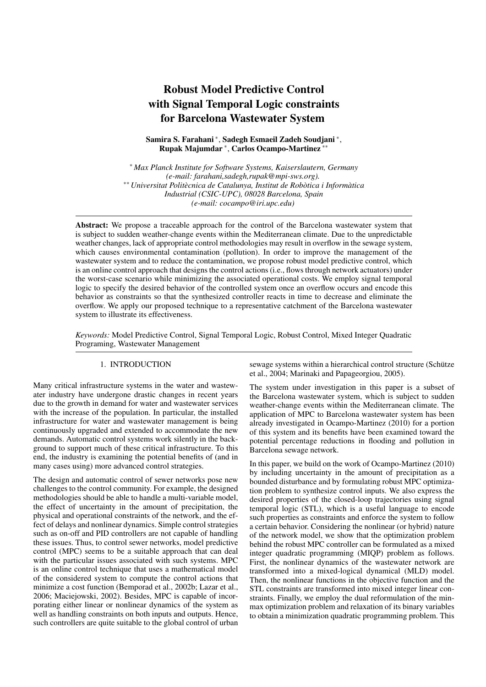# Robust Model Predictive Control with Signal Temporal Logic constraints for Barcelona Wastewater System

# Samira S. Farahani <sup>∗</sup> , Sadegh Esmaeil Zadeh Soudjani <sup>∗</sup> , Rupak Majumdar <sup>∗</sup> , Carlos Ocampo-Martinez ∗∗

<sup>∗</sup> *Max Planck Institute for Software Systems, Kaiserslautern, Germany (e-mail: farahani,sadegh,rupak@mpi-sws.org).* ∗∗ *Universitat Politecnica de Catalunya, Institut de Rob ` otica i Inform ` atica ` Industrial (CSIC-UPC), 08028 Barcelona, Spain (e-mail: cocampo@iri.upc.edu)*

Abstract: We propose a traceable approach for the control of the Barcelona wastewater system that is subject to sudden weather-change events within the Mediterranean climate. Due to the unpredictable weather changes, lack of appropriate control methodologies may result in overflow in the sewage system, which causes environmental contamination (pollution). In order to improve the management of the wastewater system and to reduce the contamination, we propose robust model predictive control, which is an online control approach that designs the control actions (i.e., flows through network actuators) under the worst-case scenario while minimizing the associated operational costs. We employ signal temporal logic to specify the desired behavior of the controlled system once an overflow occurs and encode this behavior as constraints so that the synthesized controller reacts in time to decrease and eliminate the overflow. We apply our proposed technique to a representative catchment of the Barcelona wastewater system to illustrate its effectiveness.

*Keywords:* Model Predictive Control, Signal Temporal Logic, Robust Control, Mixed Integer Quadratic Programing, Wastewater Management

## 1. INTRODUCTION

Many critical infrastructure systems in the water and wastewater industry have undergone drastic changes in recent years due to the growth in demand for water and wastewater services with the increase of the population. In particular, the installed infrastructure for water and wastewater management is being continuously upgraded and extended to accommodate the new demands. Automatic control systems work silently in the background to support much of these critical infrastructure. To this end, the industry is examining the potential benefits of (and in many cases using) more advanced control strategies.

The design and automatic control of sewer networks pose new challenges to the control community. For example, the designed methodologies should be able to handle a multi-variable model, the effect of uncertainty in the amount of precipitation, the physical and operational constraints of the network, and the effect of delays and nonlinear dynamics. Simple control strategies such as on-off and PID controllers are not capable of handling these issues. Thus, to control sewer networks, model predictive control (MPC) seems to be a suitable approach that can deal with the particular issues associated with such systems. MPC is an online control technique that uses a mathematical model of the considered system to compute the control actions that minimize a cost function (Bemporad et al., 2002b; Lazar et al., 2006; Maciejowski, 2002). Besides, MPC is capable of incorporating either linear or nonlinear dynamics of the system as well as handling constraints on both inputs and outputs. Hence, such controllers are quite suitable to the global control of urban sewage systems within a hierarchical control structure (Schütze et al., 2004; Marinaki and Papageorgiou, 2005).

The system under investigation in this paper is a subset of the Barcelona wastewater system, which is subject to sudden weather-change events within the Mediterranean climate. The application of MPC to Barcelona wastewater system has been already investigated in Ocampo-Martinez (2010) for a portion of this system and its benefits have been examined toward the potential percentage reductions in flooding and pollution in Barcelona sewage network.

In this paper, we build on the work of Ocampo-Martinez (2010) by including uncertainty in the amount of precipitation as a bounded disturbance and by formulating robust MPC optimization problem to synthesize control inputs. We also express the desired properties of the closed-loop trajectories using signal temporal logic (STL), which is a useful language to encode such properties as constraints and enforce the system to follow a certain behavior. Considering the nonlinear (or hybrid) nature of the network model, we show that the optimization problem behind the robust MPC controller can be formulated as a mixed integer quadratic programming (MIQP) problem as follows. First, the nonlinear dynamics of the wastewater network are transformed into a mixed-logical dynamical (MLD) model. Then, the nonlinear functions in the objective function and the STL constraints are transformed into mixed integer linear constraints. Finally, we employ the dual reformulation of the minmax optimization problem and relaxation of its binary variables to obtain a minimization quadratic programming problem. This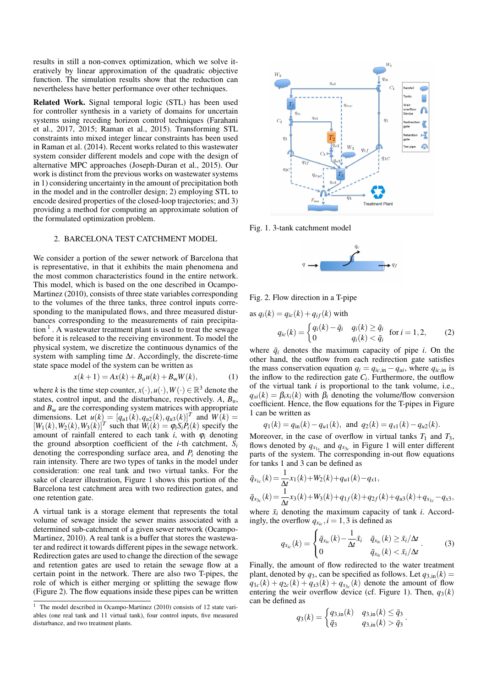results in still a non-convex optimization, which we solve iteratively by linear approximation of the quadratic objective function. The simulation results show that the reduction can nevertheless have better performance over other techniques.

Related Work. Signal temporal logic (STL) has been used for controller synthesis in a variety of domains for uncertain systems using receding horizon control techniques (Farahani et al., 2017, 2015; Raman et al., 2015). Transforming STL constraints into mixed integer linear constraints has been used in Raman et al. (2014). Recent works related to this wastewater system consider different models and cope with the design of alternative MPC approaches (Joseph-Duran et al., 2015). Our work is distinct from the previous works on wastewater systems in 1) considering uncertainty in the amount of precipitation both in the model and in the controller design; 2) employing STL to encode desired properties of the closed-loop trajectories; and 3) providing a method for computing an approximate solution of the formulated optimization problem.

## 2. BARCELONA TEST CATCHMENT MODEL

We consider a portion of the sewer network of Barcelona that is representative, in that it exhibits the main phenomena and the most common characteristics found in the entire network. This model, which is based on the one described in Ocampo-Martinez (2010), consists of three state variables corresponding to the volumes of the three tanks, three control inputs corresponding to the manipulated flows, and three measured disturbances corresponding to the measurements of rain precipitation<sup>1</sup>. A wastewater treatment plant is used to treat the sewage before it is released to the receiving environment. To model the physical system, we discretize the continuous dynamics of the system with sampling time ∆*t*. Accordingly, the discrete-time state space model of the system can be written as

$$
x(k+1) = Ax(k) + B_u u(k) + B_w W(k),
$$
 (1)

where *k* is the time step counter,  $x(\cdot), u(\cdot), W(\cdot) \in \mathbb{R}^3$  denote the states, control input, and the disturbance, respectively.  $A, B_{\mu}$ , and  $B_w$  are the corresponding system matrices with appropriate dimensions. Let  $u(k) = [q_{u1}(k), q_{u2}(k), q_{u3}(k)]^T$  and  $\overline{W}(k) =$  $[W_1(k), W_2(k), W_3(k)]^T$  such that  $\hat{W}_i(k) = \varphi_i S_i \hat{P}_i(k)$  specify the amount of rainfall entered to each tank  $i$ , with  $\varphi_i$  denoting the ground absorption coefficient of the *i*-th catchment, *S<sup>i</sup>* denoting the corresponding surface area, and *P<sup>i</sup>* denoting the rain intensity. There are two types of tanks in the model under consideration: one real tank and two virtual tanks. For the sake of clearer illustration, Figure 1 shows this portion of the Barcelona test catchment area with two redirection gates, and one retention gate.

A virtual tank is a storage element that represents the total volume of sewage inside the sewer mains associated with a determined sub-catchment of a given sewer network (Ocampo-Martinez, 2010). A real tank is a buffer that stores the wastewater and redirect it towards different pipes in the sewage network. Redirection gates are used to change the direction of the sewage and retention gates are used to retain the sewage flow at a certain point in the network. There are also two T-pipes, the role of which is either merging or splitting the sewage flow (Figure 2). The flow equations inside these pipes can be written





Fig. 1. 3-tank catchment model



Fig. 2. Flow direction in a T-pipe

as 
$$
q_i(k) = q_{ic}(k) + q_{if}(k)
$$
 with  
\n
$$
q_{ic}(k) = \begin{cases} q_i(k) - \bar{q}_i & q_i(k) \ge \bar{q}_i \\ 0 & q_i(k) < \bar{q}_i \end{cases}
$$
 for  $i = 1, 2,$  (2)

where  $\bar{q}_i$  denotes the maximum capacity of pipe *i*. On the other hand, the outflow from each redirection gate satisfies the mass conservation equation  $q_i = q_{ic,in} - q_{ui}$ , where  $q_{ic,in}$  is the inflow to the redirection gate  $C_i$ . Furthermore, the outflow of the virtual tank *i* is proportional to the tank volume, i.e.,  $q_{xi}(k) = \beta_i x_i(k)$  with  $\beta_i$  denoting the volume/flow conversion coefficient. Hence, the flow equations for the T-pipes in Figure 1 can be written as

$$
q_1(k) = q_{in}(k) - q_{u1}(k)
$$
, and  $q_2(k) = q_{x1}(k) - q_{u2}(k)$ .

Moreover, in the case of overflow in virtual tanks  $T_1$  and  $T_3$ , flows denoted by  $q_{x_{1c}}$  and  $q_{x_{3c}}$  in Figure 1 will enter different parts of the system. The corresponding in-out flow equations for tanks 1 and 3 can be defined as

$$
\bar{q}_{x_{1c}}(k) = \frac{1}{\Delta t} x_1(k) + W_2(k) + q_{u1}(k) - q_{x1},
$$
\n
$$
\bar{q}_{x_{3c}}(k) = \frac{1}{\Delta t} x_3(k) + W_3(k) + q_{1f}(k) + q_{2f}(k) + q_{u3}(k) + q_{x_{1c}} - q_{x3},
$$

where  $\bar{x}_i$  denoting the maximum capacity of tank *i*. Accordingly, the overflow  $q_{x_{ic}}$ ,  $i = 1,3$  is defined as

$$
q_{x_{ic}}(k) = \begin{cases} \bar{q}_{x_{ic}}(k) - \frac{1}{\Delta t} \bar{x}_i & \bar{q}_{x_{ic}}(k) \ge \bar{x}_i/\Delta t \\ 0 & \bar{q}_{x_{ic}}(k) < \bar{x}_i/\Delta t \end{cases} \tag{3}
$$

Finally, the amount of flow redirected to the water treatment plant, denoted by  $q_3$ , can be specified as follows. Let  $q_{3,in}(k)$  =  $q_{1c}(k) + q_{2c}(k) + q_{x3}(k) + q_{x3c}(k)$  denote the amount of flow entering the weir overflow device (cf. Figure 1). Then,  $q_3(k)$ can be defined as

$$
q_3(k) = \begin{cases} q_{3,\text{in}}(k) & q_{3,\text{in}}(k) \le \bar{q}_3 \\ \bar{q}_3 & q_{3,\text{in}}(k) > \bar{q}_3 \end{cases}.
$$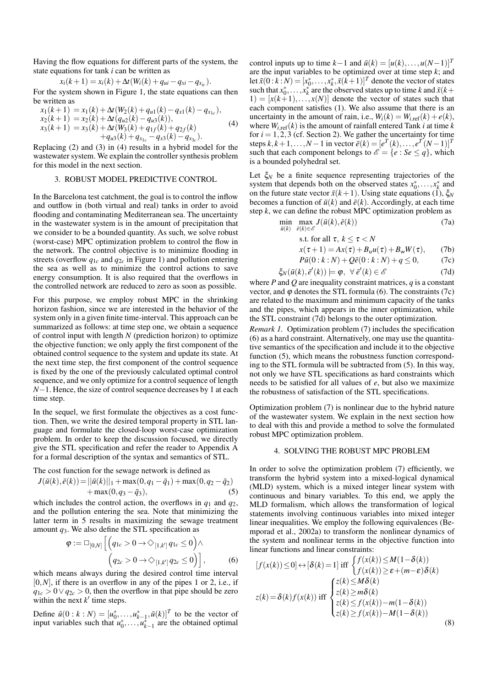Having the flow equations for different parts of the system, the state equations for tank *i* can be written as

 $x_i(k+1) = x_i(k) + \Delta t(W_i(k) + q_{ui} - q_{xi} - q_{x_{ic}}).$ 

For the system shown in Figure 1, the state equations can then be written as

$$
x_1(k+1) = x_1(k) + \Delta t(W_2(k) + q_{u1}(k) - q_{x1}(k) - q_{x_{1c}}),
$$
  
\n
$$
x_2(k+1) = x_2(k) + \Delta t(q_{u2}(k) - q_{u3}(k)),
$$
  
\n
$$
x_3(k+1) = x_3(k) + \Delta t(W_3(k) + q_{1f}(k) + q_{2f}(k) + q_{u3}(k) - q_{x3}(k) - q_{x3}(k) - q_{x3c}).
$$
\n(4)

Replacing (2) and (3) in (4) results in a hybrid model for the wastewater system. We explain the controller synthesis problem for this model in the next section.

### 3. ROBUST MODEL PREDICTIVE CONTROL

In the Barcelona test catchment, the goal is to control the inflow and outflow in (both virtual and real) tanks in order to avoid flooding and contaminating Mediterranean sea. The uncertainty in the wastewater system is in the amount of precipitation that we consider to be a bounded quantity. As such, we solve robust (worst-case) MPC optimization problem to control the flow in the network. The control objective is to minimize flooding in streets (overflow  $q_{1c}$  and  $q_{2c}$  in Figure 1) and pollution entering the sea as well as to minimize the control actions to save energy consumption. It is also required that the overflows in the controlled network are reduced to zero as soon as possible.

For this purpose, we employ robust MPC in the shrinking horizon fashion, since we are interested in the behavior of the system only in a given finite time-interval. This approach can be summarized as follows: at time step one, we obtain a sequence of control input with length *N* (prediction horizon) to optimize the objective function; we only apply the first component of the obtained control sequence to the system and update its state. At the next time step, the first component of the control sequence is fixed by the one of the previously calculated optimal control sequence, and we only optimize for a control sequence of length *N*−1. Hence, the size of control sequence decreases by 1 at each time step.

In the sequel, we first formulate the objectives as a cost function. Then, we write the desired temporal property in STL language and formulate the closed-loop worst-case optimization problem. In order to keep the discussion focused, we directly give the STL specification and refer the reader to Appendix A for a formal description of the syntax and semantics of STL.

The cost function for the sewage network is defined as

$$
J(\bar{u}(k), \bar{e}(k)) = ||\bar{u}(k)||_1 + \max(0, q_1 - \bar{q}_1) + \max(0, q_2 - \bar{q}_2) + \max(0, q_3 - \bar{q}_3),
$$
 (5)

which includes the control action, the overflows in  $q_1$  and  $q_2$ , and the pollution entering the sea. Note that minimizing the latter term in 5 results in maximizing the sewage treatment amount  $q_3$ . We also define the STL specification as

$$
\varphi := \Box_{[0,N]} \left[ \left( q_{1c} > 0 \to \Diamond_{[1,k']} q_{1c} \le 0 \right) \land \right. \\
\left. \left( q_{2c} > 0 \to \Diamond_{[1,k']} q_{2c} \le 0 \right) \right], \tag{6}
$$

which means always during the desired control time interval  $[0,N]$ , if there is an overflow in any of the pipes 1 or 2, i.e., if  $q_{1c} > 0 \vee q_{2c} > 0$ , then the overflow in that pipe should be zero within the next  $k'$  time steps.

Define  $\tilde{u}(0 : k : N) = [u_0^*, \dots, u_{k-1}^*, \bar{u}(k)]^T$  to be the vector of input variables such that  $u_0^*, \ldots, u_{k-1}^*$  are the obtained optimal control inputs up to time  $k-1$  and  $\bar{u}(k) = [u(k),...,u(N-1)]^T$ are the input variables to be optimized over at time step *k*; and let  $\tilde{x}(0:k:N) = [x_0^*, \ldots, x_k^*, \bar{x}(k+1)]^T$  denote the vector of states such that  $x_0^*, \ldots, x_k^*$  are the observed states up to time *k* and  $\bar{x}(k+$  $1) = [x(k+1), \ldots, x(N)]$  denote the vector of states such that each component satisfies (1). We also assume that there is an uncertainty in the amount of rain, i.e.,  $W_i(k) = W_{i,ref}(k) + e(k)$ , where  $W_{i,\text{ref}}(k)$  is the amount of rainfall entered Tank *i* at time *k* for  $i = 1, 2, 3$  (cf. Section 2). We gather the uncertainty for time steps  $k, k+1, ..., N-1$  in vector  $\bar{e}(k) = [e^T(k), ..., e^T(N-1)]^T$ such that each component belongs to  $\mathscr{E} = \{e : Se \leq q\}$ , which is a bounded polyhedral set.

Let  $\xi_N$  be a finite sequence representing trajectories of the system that depends both on the observed states  $x_0^*, \ldots, x_k^*$  and on the future state vector  $\bar{x}(k+1)$ . Using state equations (1),  $\xi_N$ becomes a function of  $\bar{u}(k)$  and  $\bar{e}(k)$ . Accordingly, at each time step *k*, we can define the robust MPC optimization problem as

$$
\min_{\bar{u}(k)} \max_{\bar{e}(k)\in\mathscr{E}} J(\bar{u}(k), \bar{e}(k)) \tag{7a}
$$

s.t. for all  $\tau$ ,  $k \leq \tau < N$ 

$$
x(\tau + 1) = Ax(\tau) + B_u u(\tau) + B_w W(\tau), \qquad (7b)
$$

$$
P\tilde{u}(0:k:N) + Q\tilde{e}(0:k:N) + q \le 0, \qquad (7c)
$$

$$
\xi_N(\bar{u}(k), \bar{e}'(k)) \models \varphi, \ \forall \, \bar{e}'(k) \in \mathscr{E} \tag{7d}
$$

where *P* and *Q* are inequality constraint matrices, *q* is a constant vector, and  $\varphi$  denotes the STL formula (6). The constraints (7c) are related to the maximum and minimum capacity of the tanks and the pipes, which appears in the inner optimization, while the STL constraint (7d) belongs to the outer optimization.

*Remark 1.* Optimization problem (7) includes the specification (6) as a hard constraint. Alternatively, one may use the quantitative semantics of the specification and include it to the objective function (5), which means the robustness function corresponding to the STL formula will be subtracted from (5). In this way, not only we have STL specifications as hard constraints which needs to be satisfied for all values of *e*, but also we maximize the robustness of satisfaction of the STL specifications.

Optimization problem (7) is nonlinear due to the hybrid nature of the wastewater system. We explain in the next section how to deal with this and provide a method to solve the formulated robust MPC optimization problem.

## 4. SOLVING THE ROBUST MPC PROBLEM

In order to solve the optimization problem (7) efficiently, we transform the hybrid system into a mixed-logical dynamical (MLD) system, which is a mixed integer linear system with continuous and binary variables. To this end, we apply the MLD formalism, which allows the transformation of logical statements involving continuous variables into mixed integer linear inequalities. We employ the following equivalences (Bemporad et al., 2002a) to transform the nonlinear dynamics of the system and nonlinear terms in the objective function into linear functions and linear constraints:

$$
[f(x(k)) \le 0] \leftrightarrow [\delta(k) = 1] \text{ iff } \begin{cases} f(x(k)) \le M(1 - \delta(k)) \\ f(x(k)) \ge \varepsilon + (m - \varepsilon)\delta(k) \end{cases}
$$

$$
z(k) = \delta(k)f(x(k)) \text{ iff } \begin{cases} z(k) \le M\delta(k) \\ z(k) \ge m\delta(k) \\ z(k) \le f(x(k)) - m(1 - \delta(k)) \\ z(k) \ge f(x(k)) - M(1 - \delta(k)) \\ \end{cases}
$$
(8)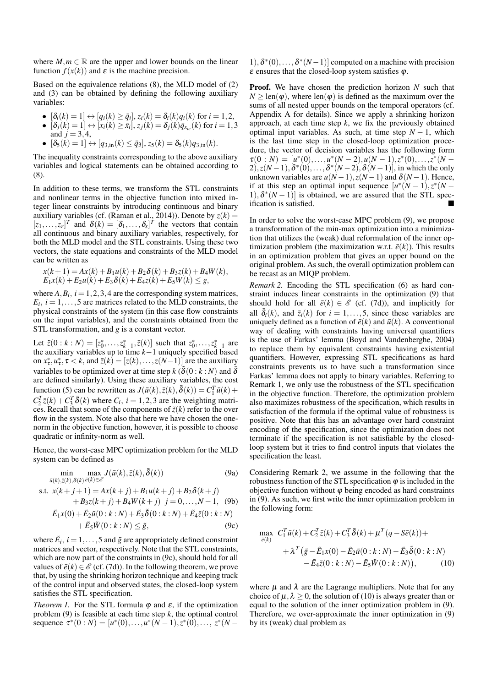where  $M, m \in \mathbb{R}$  are the upper and lower bounds on the linear function  $f(x(k))$  and  $\varepsilon$  is the machine precision.

Based on the equivalence relations (8), the MLD model of (2) and (3) can be obtained by defining the following auxiliary variables:

- $[\delta_i(k) = 1] \leftrightarrow [q_i(k) \ge \bar{q}_i], z_i(k) = \delta_i(k)q_i(k)$  for  $i = 1, 2$ ,
- $[\delta_j(k) = 1] \leftrightarrow [x_i(k) \ge \bar{x}_i], z_j(k) = \delta_j(k)\bar{q}_{x_{ic}}(k)$  for  $i = 1, 3$ and  $j = 3, 4$ ,
- $[\delta_5(\hat{k}) = 1] \leftrightarrow [q_{3, \text{in}}(\hat{k}) \le \bar{q}_3], z_5(\hat{k}) = \delta_5(\hat{k})q_{3, \text{in}}(\hat{k}).$

The inequality constraints corresponding to the above auxiliary variables and logical statements can be obtained according to (8).

In addition to these terms, we transform the STL constraints and nonlinear terms in the objective function into mixed integer linear constraints by introducing continuous and binary auxiliary variables (cf. (Raman et al., 2014)). Denote by  $z(k) =$  $[z_1, \ldots, z_r]^T$  and  $\delta(k) = [\delta_1, \ldots, \delta_s]^T$  the vectors that contain all continuous and binary auxiliary variables, respectively, for both the MLD model and the STL constraints. Using these two vectors, the state equations and constraints of the MLD model can be written as

$$
x(k+1) = Ax(k) + B_1u(k) + B_2\delta(k) + B_3z(k) + B_4W(k),
$$
  
\n
$$
E_1x(k) + E_2u(k) + E_3\delta(k) + E_4z(k) + E_5W(k) \le g,
$$

where  $A, B_i, i = 1, 2, 3, 4$  are the corresponding system matrices,  $E_i$ ,  $i = 1, \ldots, 5$  are matrices related to the MLD constraints, the physical constraints of the system (in this case flow constraints on the input variables), and the constraints obtained from the STL transformation, and *g* is a constant vector.

Let  $\tilde{z}(0 : k : N) = [z_0^*, \ldots, z_{k-1}^*, \bar{z}(k)]$  such that  $z_0^*, \ldots, z_{k-1}^*$  are the auxiliary variables up to time *k*−1 uniquely specified based on  $x^*_\tau, u^*_\tau, \tau < k$ , and  $\bar{z}(k) = [z(k), \dots, z(N-1)]$  are the auxiliary variables to be optimized over at time step  $k(\tilde{\delta}(0:k:N))$  and  $\tilde{\delta}$ are defined similarly). Using these auxiliary variables, the cost function (5) can be rewritten as  $J(\bar{u}(k), \bar{z}(k), \bar{\delta}(k)) = C_1^T \bar{u}(k) +$  $C_2^T \bar{z}(k) + C_3^T \bar{\delta}(k)$  where  $C_i$ ,  $i = 1, 2, 3$  are the weighting matrices. Recall that some of the components of  $\tilde{z}(k)$  refer to the over flow in the system. Note also that here we have chosen the onenorm in the objective function, however, it is possible to choose quadratic or infinity-norm as well.

Hence, the worst-case MPC optimization problem for the MLD system can be defined as

$$
\min_{\bar{u}(k),\bar{z}(k),\bar{\delta}(k)\bar{e}(k)\in\mathscr{E}} J(\bar{u}(k),\bar{z}(k),\bar{\delta}(k))
$$
\n(9a)

s.t. 
$$
x(k+j+1) = Ax(k+j) + B_1u(k+j) + B_2\delta(k+j)
$$
  
+  $B_3z(k+j) + B_4W(k+j)$   $j = 0,..., N-1$ , (9b)  
 $\tilde{E}_1x(0) + \tilde{E}_2\tilde{u}(0:k;N) + \tilde{E}_3\tilde{\delta}(0:k;N) + \tilde{E}_4\tilde{z}(0:k;N)$ 

$$
+\tilde{E}_5\tilde{W}(0:k:N)\leq \tilde{g},\qquad(9c)
$$

where  $\tilde{E}_i$ ,  $i = 1, \ldots, 5$  and  $\tilde{g}$  are appropriately defined constraint matrices and vector, respectively. Note that the STL constraints, which are now part of the constraints in (9c), should hold for all values of  $\bar{e}(k) \in \mathscr{E}$  (cf. (7d)). In the following theorem, we prove that, by using the shrinking horizon technique and keeping track of the control input and observed states, the closed-loop system satisfies the STL specification.

*Theorem 1.* For the STL formula  $\varphi$  and  $\varepsilon$ , if the optimization problem (9) is feasible at each time step *k*, the optimal control sequence  $\tau^*(0:N) = [u^*(0), \ldots, u^*(N-1), z^*(0), \ldots, z^*(N-1)]$ 

1),  $\delta^*(0), \ldots, \delta^*(N-1)$ ] computed on a machine with precision  $\epsilon$  ensures that the closed-loop system satisfies  $\varphi$ .

Proof. We have chosen the prediction horizon *N* such that  $N \geq \text{len}(\varphi)$ , where  $\text{len}(\varphi)$  is defined as the maximum over the sums of all nested upper bounds on the temporal operators (cf. Appendix A for details). Since we apply a shrinking horizon approach, at each time step *k*, we fix the previously obtained optimal input variables. As such, at time step  $N-1$ , which is the last time step in the closed-loop optimization procedure, the vector of decision variables has the following form  $\tau(0:N) = [u^*(0),..., u^*(N-2), u(N-1), z^*(0),..., z^*(N-1)]$ 2),*z*(*N* − 1), $\delta$ \*(0),..., $\delta$ \*(*N* − 2), $\delta$ (*N* − 1)], in which the only unknown variables are  $u(N-1)$ ,  $z(N-1)$  and  $\delta(N-1)$ . Hence, if at this step an optimal input sequence  $[u^*(N-1), z^*(N-1)]$ 1),  $\delta^{*}(N-1)$  is obtained, we are assured that the STL specification is satisfied.

In order to solve the worst-case MPC problem (9), we propose a transformation of the min-max optimization into a minimization that utilizes the (weak) dual reformulation of the inner optimization problem (the maximization w.r.t.  $\bar{e}(k)$ ). This results in an optimization problem that gives an upper bound on the original problem. As such, the overall optimization problem can be recast as an MIQP problem.

*Remark 2.* Encoding the STL specification (6) as hard constraint induces linear constraints in the optimization (9) that should hold for all  $\bar{e}(k) \in \mathscr{E}$  (cf. (7d)), and implicitly for all  $\bar{\delta}_i(k)$ , and  $\bar{z}_i(k)$  for  $i = 1, \ldots, 5$ , since these variables are uniquely defined as a function of  $\bar{e}(k)$  and  $\bar{u}(k)$ . A conventional way of dealing with constraints having universal quantifiers is the use of Farkas' lemma (Boyd and Vandenberghe, 2004) to replace them by equivalent constraints having existential quantifiers. However, expressing STL specifications as hard constraints prevents us to have such a transformation since Farkas' lemma does not apply to binary variables. Referring to Remark 1, we only use the robustness of the STL specification in the objective function. Therefore, the optimization problem also maximizes robustness of the specification, which results in satisfaction of the formula if the optimal value of robustness is positive. Note that this has an advantage over hard constraint encoding of the specification, since the optimization does not terminate if the specification is not satisfiable by the closedloop system but it tries to find control inputs that violates the specification the least.

Considering Remark 2, we assume in the following that the robustness function of the STL specification  $\varphi$  is included in the objective function without  $\varphi$  being encoded as hard constraints in (9). As such, we first write the inner optimization problem in the following form:

$$
\max_{\bar{e}(k)} C_1^T \bar{u}(k) + C_2^T \bar{z}(k) + C_3^T \bar{\delta}(k) + \mu^T (q - S\bar{e}(k)) + + \lambda^T (\tilde{g} - \tilde{E}_1 x(0) - \tilde{E}_2 \tilde{u}(0 : k : N) - \tilde{E}_3 \tilde{\delta}(0 : k : N) - \tilde{E}_4 \tilde{z}(0 : k : N) - \tilde{E}_5 \tilde{W}(0 : k : N)),
$$
(10)

where  $\mu$  and  $\lambda$  are the Lagrange multipliers. Note that for any choice of  $\mu$ ,  $\lambda > 0$ , the solution of (10) is always greater than or equal to the solution of the inner optimization problem in (9). Therefore, we over-approximate the inner optimization in (9) by its (weak) dual problem as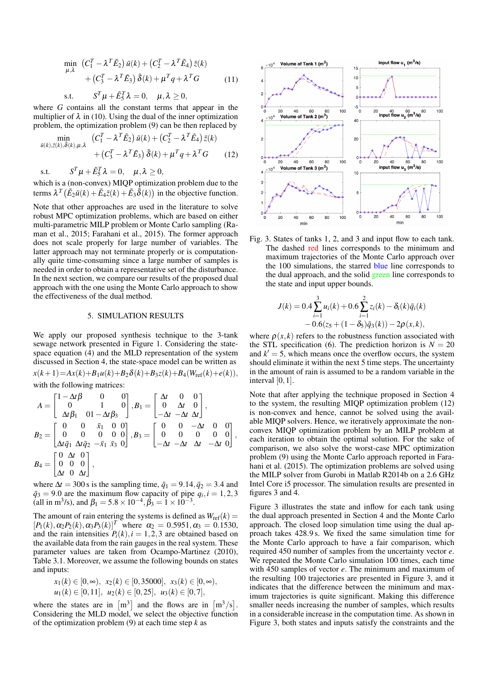$$
\min_{\mu,\lambda} \quad (C_1^T - \lambda^T \tilde{E}_2) \bar{u}(k) + (C_2^T - \lambda^T \tilde{E}_4) \bar{z}(k) \n+ (C_3^T - \lambda^T \tilde{E}_3) \bar{\delta}(k) + \mu^T q + \lambda^T G
$$
\n(11)

s.t. *S*  ${}^{T}\mu + \tilde{E}_{5}^{T}\lambda = 0, \quad \mu, \lambda \geq 0,$ 

where *G* contains all the constant terms that appear in the multiplier of  $\lambda$  in (10). Using the dual of the inner optimization problem, the optimization problem (9) can be then replaced by

$$
\min_{\bar{u}(k),\bar{z}(k),\bar{\delta}(k),\mu,\lambda} \quad (C_1^T - \lambda^T \tilde{E}_2) \,\bar{u}(k) + (C_2^T - \lambda^T \tilde{E}_4) \,\bar{z}(k) \n+ (C_3^T - \lambda^T \tilde{E}_3) \,\bar{\delta}(k) + \mu^T q + \lambda^T G \tag{12}
$$

s.t. *S*  ${}^{T}\mu + \tilde{E}_{5}^{T}\lambda = 0, \quad \mu, \lambda \geq 0,$ 

which is a (non-convex) MIQP optimization problem due to the terms  $\lambda^T (\tilde{E}_2 \bar{u}(k) + \tilde{E}_4 \bar{z}(k) + \tilde{E}_3 \bar{\delta}(k))$  in the objective function.

Note that other approaches are used in the literature to solve robust MPC optimization problems, which are based on either multi-parametric MILP problem or Monte Carlo sampling (Raman et al., 2015; Farahani et al., 2015). The former approach does not scale properly for large number of variables. The latter approach may not terminate properly or is computationally quite time-consuming since a large number of samples is needed in order to obtain a representative set of the disturbance. In the next section, we compare our results of the proposed dual approach with the one using the Monte Carlo approach to show the effectiveness of the dual method.

## 5. SIMULATION RESULTS

We apply our proposed synthesis technique to the 3-tank sewage network presented in Figure 1. Considering the statespace equation (4) and the MLD representation of the system discussed in Section 4, the state-space model can be written as  $x(k+1)=Ax(k)+B_1u(k)+B_2\delta(k)+B_3z(k)+B_4(W_{ref}(k)+e(k)),$ with the following matrices:

$$
A = \begin{bmatrix} 1 - \Delta t \beta & 0 & 0 \\ 0 & 1 & 0 \\ \Delta t \beta_1 & 0 & 1 - \Delta t \beta_3 \end{bmatrix}, B_1 = \begin{bmatrix} \Delta t & 0 & 0 \\ 0 & \Delta t & 0 \\ -\Delta t & -\Delta t & \Delta t \end{bmatrix},
$$
  
\n
$$
B_2 = \begin{bmatrix} 0 & 0 & \bar{x}_1 & 0 & 0 \\ 0 & 0 & 0 & 0 & 0 \\ \Delta t \bar{q}_1 & \Delta t \bar{q}_2 & -\bar{x}_1 & \bar{x}_3 & 0 \end{bmatrix}, B_3 = \begin{bmatrix} 0 & 0 & -\Delta t & 0 & 0 \\ 0 & 0 & 0 & 0 & 0 \\ -\Delta t & -\Delta t & \Delta t & -\Delta t & 0 \end{bmatrix},
$$
  
\n
$$
B_4 = \begin{bmatrix} 0 & \Delta t & 0 \\ 0 & 0 & 0 \\ \Delta t & 0 & \Delta t \end{bmatrix},
$$

where  $\Delta t = 300$  s is the sampling time,  $\bar{q}_1 = 9.14$ ,  $\bar{q}_2 = 3.4$  and  $\bar{q}_3 = 9.0$  are the maximum flow capacity of pipe  $q_i$ ,  $i = 1, 2, 3$ (all in m<sup>3</sup>/s), and  $\beta_1 = 5.8 \times 10^{-4}$ ,  $\beta_3 = 1 \times 10^{-3}$ .

The amount of rain entering the systems is defined as  $W_{ref}(k) =$  $[P_1(k), \alpha_2 P_2(k), \alpha_3 P_3(k)]^T$  where  $\alpha_2 = 0.5951, \alpha_3 = 0.1530$ , and the rain intensities  $P_i(k)$ ,  $i = 1, 2, 3$  are obtained based on the available data from the rain gauges in the real system. These parameter values are taken from Ocampo-Martinez (2010), Table 3.1. Moreover, we assume the following bounds on states and inputs:

$$
x_1(k) \in [0, \infty), x_2(k) \in [0, 35000], x_3(k) \in [0, \infty),
$$
  
 $u_1(k) \in [0, 11], u_2(k) \in [0, 25], u_3(k) \in [0, 7],$ 

where the states are in  $\lceil m^3 \rceil$  and the flows are in  $\lceil m^3 / s \rceil$ . Considering the MLD model, we select the objective function of the optimization problem (9) at each time step *k* as



Fig. 3. States of tanks 1, 2, and 3 and input flow to each tank. The dashed red lines corresponds to the minimum and maximum trajectories of the Monte Carlo approach over the 100 simulations, the starred blue line corresponds to the dual approach, and the solid green line corresponds to the state and input upper bounds.

$$
J(k) = 0.4 \sum_{i=1}^{3} u_i(k) + 0.6 \sum_{i=1}^{2} z_i(k) - \delta_i(k)\bar{q}_i(k) -0.6(z_5 + (1 - \delta_5)\bar{q}_3(k)) - 2\rho(x, k),
$$

where  $\rho(x, k)$  refers to the robustness function associated with the STL specification (6). The prediction horizon is  $N = 20$ and  $k' = 5$ , which means once the overflow occurs, the system should eliminate it within the next 5 time steps. The uncertainty in the amount of rain is assumed to be a random variable in the interval [0,1].

Note that after applying the technique proposed in Section 4 to the system, the resulting MIQP optimization problem (12) is non-convex and hence, cannot be solved using the available MIQP solvers. Hence, we iteratively approximate the nonconvex MIQP optimization problem by an MILP problem at each iteration to obtain the optimal solution. For the sake of comparison, we also solve the worst-case MPC optimization problem (9) using the Monte Carlo approach reported in Farahani et al. (2015). The optimization problems are solved using the MILP solver from Gurobi in Matlab R2014b on a 2.6 GHz Intel Core i5 processor. The simulation results are presented in figures 3 and 4.

Figure 3 illustrates the state and inflow for each tank using the dual approach presented in Section 4 and the Monte Carlo approach. The closed loop simulation time using the dual approach takes 428.9 s. We fixed the same simulation time for the Monte Carlo approach to have a fair comparison, which required 450 number of samples from the uncertainty vector *e*. We repeated the Monte Carlo simulation 100 times, each time with 450 samples of vector *e*. The minimum and maximum of the resulting 100 trajectories are presented in Figure 3, and it indicates that the difference between the minimum and maximum trajectories is quite significant. Making this difference smaller needs increasing the number of samples, which results in a considerable increase in the computation time. As shown in Figure 3, both states and inputs satisfy the constraints and the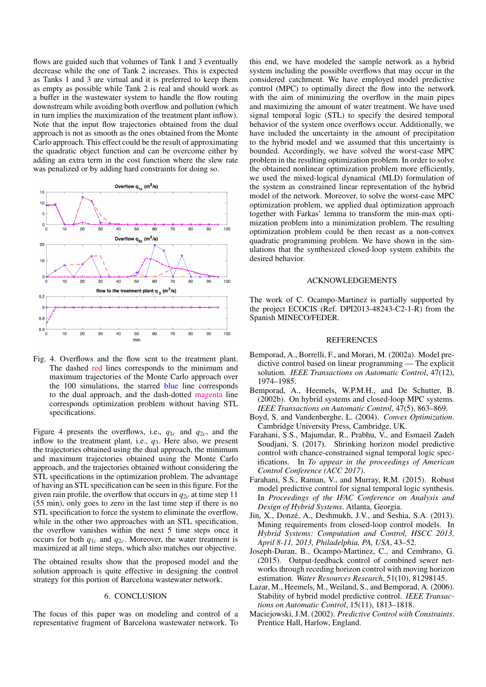flows are guided such that volumes of Tank 1 and 3 eventually decrease while the one of Tank 2 increases. This is expected as Tanks 1 and 3 are virtual and it is preferred to keep them as empty as possible while Tank 2 is real and should work as a buffer in the wastewater system to handle the flow routing downstream while avoiding both overflow and pollution (which in turn implies the maximization of the treatment plant inflow). Note that the input flow trajectories obtained from the dual approach is not as smooth as the ones obtained from the Monte Carlo approach. This effect could be the result of approximating the quadratic object function and can be overcome either by adding an extra term in the cost function where the slew rate was penalized or by adding hard constraints for doing so.



Fig. 4. Overflows and the flow sent to the treatment plant. The dashed red lines corresponds to the minimum and maximum trajectories of the Monte Carlo approach over the 100 simulations, the starred blue line corresponds to the dual approach, and the dash-dotted magenta line corresponds optimization problem without having STL specifications.

Figure 4 presents the overflows, i.e.,  $q_{1c}$  and  $q_{2c}$ , and the inflow to the treatment plant, i.e., *q*3. Here also, we present the trajectories obtained using the dual approach, the minimum and maximum trajectories obtained using the Monte Carlo approach, and the trajectories obtained without considering the STL specifications in the optimization problem. The advantage of having an STL specification can be seen in this figure. For the given rain profile, the overflow that occurs in  $q_{2c}$  at time step 11 (55 min), only goes to zero in the last time step if there is no STL specification to force the system to eliminate the overflow, while in the other two approaches with an STL specification, the overflow vanishes within the next 5 time steps once it occurs for both  $q_{1c}$  and  $q_{2c}$ . Moreover, the water treatment is maximized at all time steps, which also matches our objective.

The obtained results show that the proposed model and the solution approach is quite effective in designing the control strategy for this portion of Barcelona wastewater network.

#### 6. CONCLUSION

The focus of this paper was on modeling and control of a representative fragment of Barcelona wastewater network. To this end, we have modeled the sample network as a hybrid system including the possible overflows that may occur in the considered catchment. We have employed model predictive control (MPC) to optimally direct the flow into the network with the aim of minimizing the overflow in the main pipes and maximizing the amount of water treatment. We have used signal temporal logic (STL) to specify the desired temporal behavior of the system once overflows occur. Additionally, we have included the uncertainty in the amount of precipitation to the hybrid model and we assumed that this uncertainty is bounded. Accordingly, we have solved the worst-case MPC problem in the resulting optimization problem. In order to solve the obtained nonlinear optimization problem more efficiently, we used the mixed-logical dynamical (MLD) formulation of the system as constrained linear representation of the hybrid model of the network. Moreover, to solve the worst-case MPC optimization problem, we applied dual optimization approach together with Farkas' lemma to transform the min-max optimization problem into a minimization problem. The resulting optimization problem could be then recast as a non-convex quadratic programming problem. We have shown in the simulations that the synthesized closed-loop system exhibits the desired behavior.

#### ACKNOWLEDGEMENTS

The work of C. Ocampo-Martinez is partially supported by the project ECOCIS (Ref. DPI2013-48243-C2-1-R) from the Spanish MINECO/FEDER.

#### REFERENCES

- Bemporad, A., Borrelli, F., and Morari, M. (2002a). Model predictive control based on linear programming — The explicit solution. *IEEE Transactions on Automatic Control*, 47(12), 1974–1985.
- Bemporad, A., Heemels, W.P.M.H., and De Schutter, B. (2002b). On hybrid systems and closed-loop MPC systems. *IEEE Transactions on Automatic Control*, 47(5), 863–869.
- Boyd, S. and Vandenberghe, L. (2004). *Convex Optimization*. Cambridge University Press, Cambridge, UK.
- Farahani, S.S., Majumdar, R., Prabhu, V., and Esmaeil Zadeh Soudjani, S. (2017). Shrinking horizon model predictive control with chance-constrained signal temporal logic specifications. In *To appear in the proceedings of American Control Conference (ACC 2017)*.
- Farahani, S.S., Raman, V., and Murray, R.M. (2015). Robust model predictive control for signal temporal logic synthesis. In *Proceedings of the IFAC Conference on Analysis and Design of Hybrid Systems*. Atlanta, Georgia.
- Jin, X., Donze, A., Deshmukh, J.V., and Seshia, S.A. (2013). ´ Mining requirements from closed-loop control models. In *Hybrid Systems: Computation and Control, HSCC 2013, April 8-11, 2013, Philadelphia, PA, USA*, 43–52.
- Joseph-Duran, B., Ocampo-Martinez, C., and Cembrano, G. (2015). Output-feedback control of combined sewer networks through receding horizon control with moving horizon estimation. *Water Resources Research*, 51(10), 81298145.
- Lazar, M., Heemels, M., Weiland, S., and Bemporad, A. (2006). Stability of hybrid model predictive control. *IEEE Transactions on Automatic Control*, 15(11), 1813–1818.
- Maciejowski, J.M. (2002). *Predictive Control with Constraints*. Prentice Hall, Harlow, England.